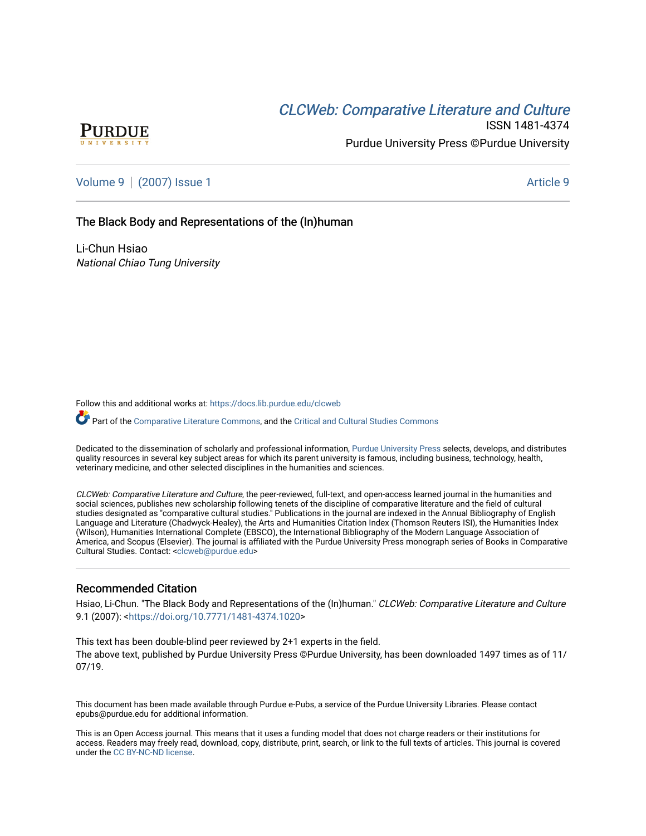# **CLCW[eb: Comparative Liter](https://docs.lib.purdue.edu/clcweb)ature and Culture**



ISSN 1481-4374 Purdue University Press ©Purdue University

[Volume 9](https://docs.lib.purdue.edu/clcweb/vol9) | [\(2007\) Issue 1](https://docs.lib.purdue.edu/clcweb/vol9/iss1) Article 9

# The Black Body and Representations of the (In)human

Li-Chun Hsiao National Chiao Tung University

Follow this and additional works at: [https://docs.lib.purdue.edu/clcweb](https://docs.lib.purdue.edu/clcweb?utm_source=docs.lib.purdue.edu%2Fclcweb%2Fvol9%2Fiss1%2F9&utm_medium=PDF&utm_campaign=PDFCoverPages)

Part of the [Comparative Literature Commons,](http://network.bepress.com/hgg/discipline/454?utm_source=docs.lib.purdue.edu%2Fclcweb%2Fvol9%2Fiss1%2F9&utm_medium=PDF&utm_campaign=PDFCoverPages) and the Critical and Cultural Studies Commons

Dedicated to the dissemination of scholarly and professional information, [Purdue University Press](http://www.thepress.purdue.edu/) selects, develops, and distributes quality resources in several key subject areas for which its parent university is famous, including business, technology, health, veterinary medicine, and other selected disciplines in the humanities and sciences.

CLCWeb: Comparative Literature and Culture, the peer-reviewed, full-text, and open-access learned journal in the humanities and social sciences, publishes new scholarship following tenets of the discipline of comparative literature and the field of cultural studies designated as "comparative cultural studies." Publications in the journal are indexed in the Annual Bibliography of English Language and Literature (Chadwyck-Healey), the Arts and Humanities Citation Index (Thomson Reuters ISI), the Humanities Index (Wilson), Humanities International Complete (EBSCO), the International Bibliography of the Modern Language Association of America, and Scopus (Elsevier). The journal is affiliated with the Purdue University Press monograph series of Books in Comparative Cultural Studies. Contact: [<clcweb@purdue.edu](mailto:clcweb@purdue.edu)>

# Recommended Citation

Hsiao, Li-Chun. "The Black Body and Representations of the (In)human." CLCWeb: Comparative Literature and Culture 9.1 (2007): [<https://doi.org/10.7771/1481-4374.1020>](https://doi.org/10.7771/1481-4374.1020)

This text has been double-blind peer reviewed by 2+1 experts in the field. The above text, published by Purdue University Press ©Purdue University, has been downloaded 1497 times as of 11/ 07/19.

This document has been made available through Purdue e-Pubs, a service of the Purdue University Libraries. Please contact epubs@purdue.edu for additional information.

This is an Open Access journal. This means that it uses a funding model that does not charge readers or their institutions for access. Readers may freely read, download, copy, distribute, print, search, or link to the full texts of articles. This journal is covered under the [CC BY-NC-ND license.](https://creativecommons.org/licenses/by-nc-nd/4.0/)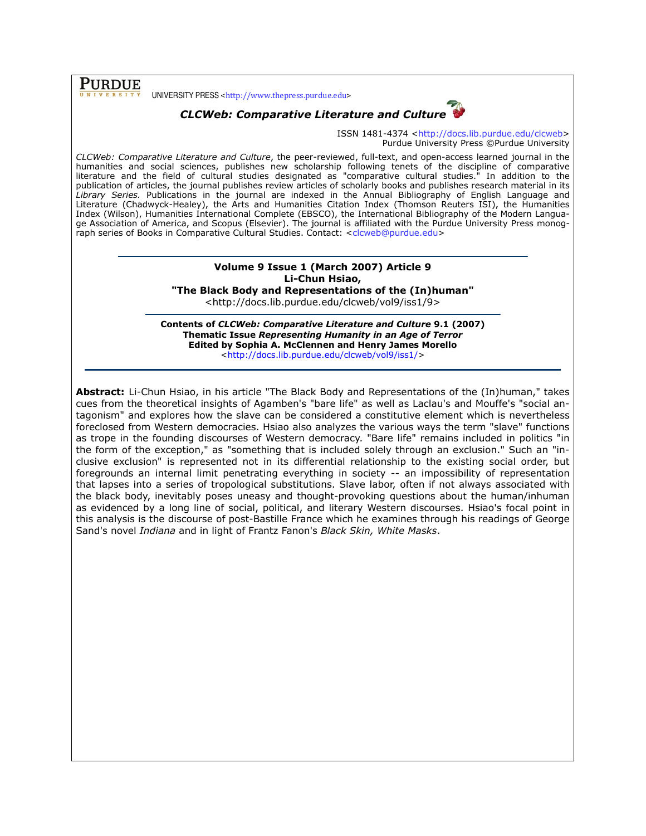**PURDUE** 

UNIVERSITY PRESS <http://www.thepress.purdue.edu>



ISSN 1481-4374 <http://docs.lib.purdue.edu/clcweb> Purdue University Press ©Purdue University

CLCWeb: Comparative Literature and Culture, the peer-reviewed, full-text, and open-access learned journal in the humanities and social sciences, publishes new scholarship following tenets of the discipline of comparative literature and the field of cultural studies designated as "comparative cultural studies." In addition to the publication of articles, the journal publishes review articles of scholarly books and publishes research material in its Library Series. Publications in the journal are indexed in the Annual Bibliography of English Language and Literature (Chadwyck-Healey), the Arts and Humanities Citation Index (Thomson Reuters ISI), the Humanities Index (Wilson), Humanities International Complete (EBSCO), the International Bibliography of the Modern Language Association of America, and Scopus (Elsevier). The journal is affiliated with the Purdue University Press monograph series of Books in Comparative Cultural Studies. Contact: <clcweb@purdue.edu>

### Volume 9 Issue 1 (March 2007) Article 9 Li-Chun Hsiao, "The Black Body and Representations of the (In)human"

<http://docs.lib.purdue.edu/clcweb/vol9/iss1/9>

Contents of CLCWeb: Comparative Literature and Culture 9.1 (2007) Thematic Issue Representing Humanity in an Age of Terror Edited by Sophia A. McClennen and Henry James Morello <http://docs.lib.purdue.edu/clcweb/vol9/iss1/>

Abstract: Li-Chun Hsiao, in his article "The Black Body and Representations of the (In)human," takes cues from the theoretical insights of Agamben's "bare life" as well as Laclau's and Mouffe's "social antagonism" and explores how the slave can be considered a constitutive element which is nevertheless foreclosed from Western democracies. Hsiao also analyzes the various ways the term "slave" functions as trope in the founding discourses of Western democracy. "Bare life" remains included in politics "in the form of the exception," as "something that is included solely through an exclusion." Such an "inclusive exclusion" is represented not in its differential relationship to the existing social order, but foregrounds an internal limit penetrating everything in society -- an impossibility of representation that lapses into a series of tropological substitutions. Slave labor, often if not always associated with the black body, inevitably poses uneasy and thought-provoking questions about the human/inhuman as evidenced by a long line of social, political, and literary Western discourses. Hsiao's focal point in this analysis is the discourse of post-Bastille France which he examines through his readings of George Sand's novel Indiana and in light of Frantz Fanon's Black Skin, White Masks.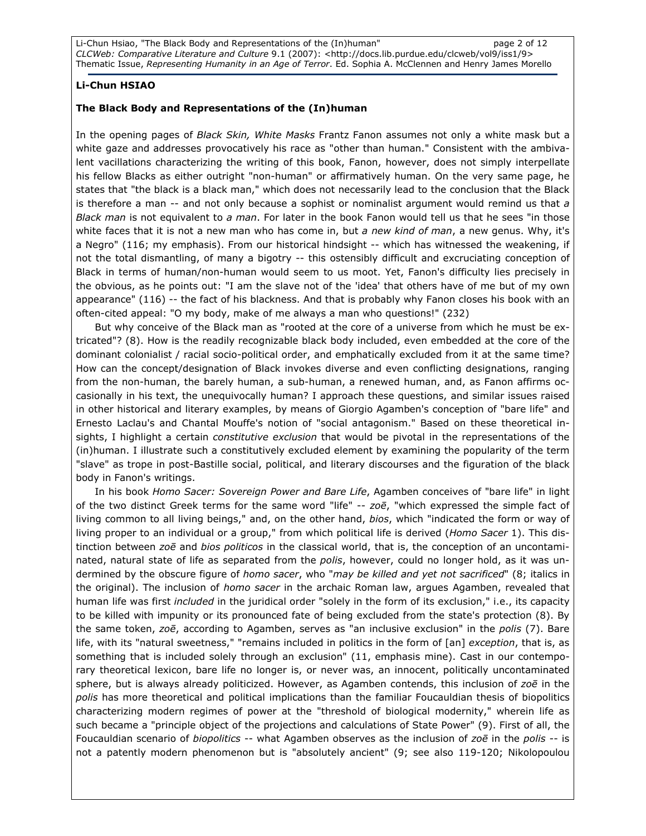Li-Chun Hsiao, "The Black Body and Representations of the (In)human" https://www.page 2 of 12 CLCWeb: Comparative Literature and Culture 9.1 (2007): <http://docs.lib.purdue.edu/clcweb/vol9/iss1/9> Thematic Issue, Representing Humanity in an Age of Terror. Ed. Sophia A. McClennen and Henry James Morello

#### Li-Chun HSIAO

### The Black Body and Representations of the (In)human

In the opening pages of Black Skin, White Masks Frantz Fanon assumes not only a white mask but a white gaze and addresses provocatively his race as "other than human." Consistent with the ambivalent vacillations characterizing the writing of this book, Fanon, however, does not simply interpellate his fellow Blacks as either outright "non-human" or affirmatively human. On the very same page, he states that "the black is a black man," which does not necessarily lead to the conclusion that the Black is therefore a man -- and not only because a sophist or nominalist argument would remind us that  $a$ Black man is not equivalent to a man. For later in the book Fanon would tell us that he sees "in those white faces that it is not a new man who has come in, but a new kind of man, a new genus. Why, it's a Negro" (116; my emphasis). From our historical hindsight -- which has witnessed the weakening, if not the total dismantling, of many a bigotry -- this ostensibly difficult and excruciating conception of Black in terms of human/non-human would seem to us moot. Yet, Fanon's difficulty lies precisely in the obvious, as he points out: "I am the slave not of the 'idea' that others have of me but of my own appearance" (116) -- the fact of his blackness. And that is probably why Fanon closes his book with an often-cited appeal: "O my body, make of me always a man who questions!" (232)

But why conceive of the Black man as "rooted at the core of a universe from which he must be extricated"? (8). How is the readily recognizable black body included, even embedded at the core of the dominant colonialist / racial socio-political order, and emphatically excluded from it at the same time? How can the concept/designation of Black invokes diverse and even conflicting designations, ranging from the non-human, the barely human, a sub-human, a renewed human, and, as Fanon affirms occasionally in his text, the unequivocally human? I approach these questions, and similar issues raised in other historical and literary examples, by means of Giorgio Agamben's conception of "bare life" and Ernesto Laclau's and Chantal Mouffe's notion of "social antagonism." Based on these theoretical insights, I highlight a certain *constitutive exclusion* that would be pivotal in the representations of the (in)human. I illustrate such a constitutively excluded element by examining the popularity of the term "slave" as trope in post-Bastille social, political, and literary discourses and the figuration of the black body in Fanon's writings.

In his book Homo Sacer: Sovereign Power and Bare Life, Agamben conceives of "bare life" in light of the two distinct Greek terms for the same word "life" -- zoe, "which expressed the simple fact of living common to all living beings," and, on the other hand, bios, which "indicated the form or way of living proper to an individual or a group," from which political life is derived (Homo Sacer 1). This distinction between zoe and bios politicos in the classical world, that is, the conception of an uncontaminated, natural state of life as separated from the polis, however, could no longer hold, as it was undermined by the obscure figure of homo sacer, who "may be killed and yet not sacrificed" (8; italics in the original). The inclusion of *homo sacer* in the archaic Roman law, argues Agamben, revealed that human life was first included in the juridical order "solely in the form of its exclusion," i.e., its capacity to be killed with impunity or its pronounced fate of being excluded from the state's protection (8). By the same token, zoe, according to Agamben, serves as "an inclusive exclusion" in the polis (7). Bare life, with its "natural sweetness," "remains included in politics in the form of [an] exception, that is, as something that is included solely through an exclusion" (11, emphasis mine). Cast in our contemporary theoretical lexicon, bare life no longer is, or never was, an innocent, politically uncontaminated sphere, but is always already politicized. However, as Agamben contends, this inclusion of zoe in the polis has more theoretical and political implications than the familiar Foucauldian thesis of biopolitics characterizing modern regimes of power at the "threshold of biological modernity," wherein life as such became a "principle object of the projections and calculations of State Power" (9). First of all, the Foucauldian scenario of *biopolitics* -- what Agamben observes as the inclusion of zoe in the polis -- is not a patently modern phenomenon but is "absolutely ancient" (9; see also 119-120; Nikolopoulou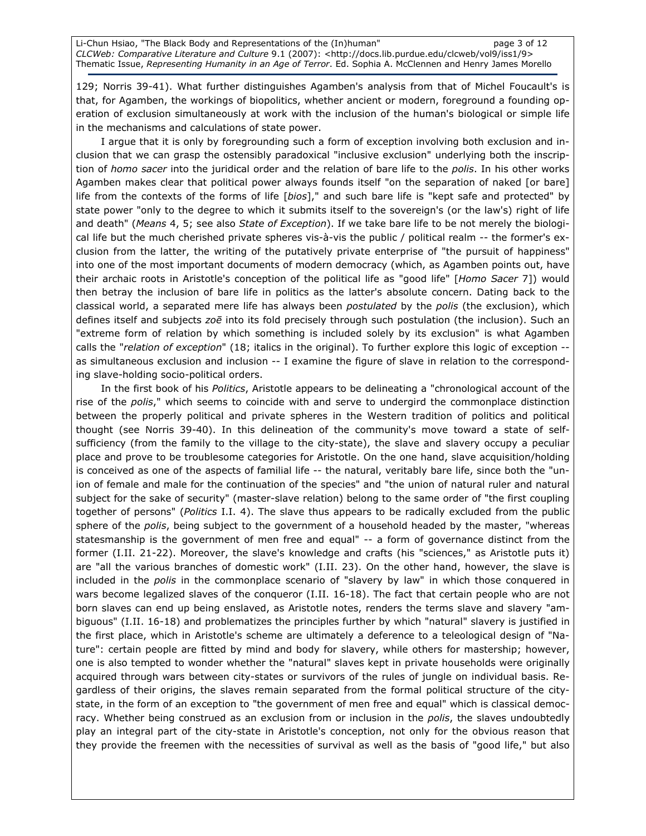129; Norris 39-41). What further distinguishes Agamben's analysis from that of Michel Foucault's is that, for Agamben, the workings of biopolitics, whether ancient or modern, foreground a founding operation of exclusion simultaneously at work with the inclusion of the human's biological or simple life in the mechanisms and calculations of state power.

I argue that it is only by foregrounding such a form of exception involving both exclusion and inclusion that we can grasp the ostensibly paradoxical "inclusive exclusion" underlying both the inscription of homo sacer into the juridical order and the relation of bare life to the polis. In his other works Agamben makes clear that political power always founds itself "on the separation of naked [or bare] life from the contexts of the forms of life [bios]," and such bare life is "kept safe and protected" by state power "only to the degree to which it submits itself to the sovereign's (or the law's) right of life and death" (Means 4, 5; see also State of Exception). If we take bare life to be not merely the biological life but the much cherished private spheres vis-à-vis the public / political realm -- the former's exclusion from the latter, the writing of the putatively private enterprise of "the pursuit of happiness" into one of the most important documents of modern democracy (which, as Agamben points out, have their archaic roots in Aristotle's conception of the political life as "good life" [Homo Sacer 7]) would then betray the inclusion of bare life in politics as the latter's absolute concern. Dating back to the classical world, a separated mere life has always been *postulated* by the *polis* (the exclusion), which defines itself and subjects zoe into its fold precisely through such postulation (the inclusion). Such an "extreme form of relation by which something is included solely by its exclusion" is what Agamben calls the "relation of exception" (18; italics in the original). To further explore this logic of exception -as simultaneous exclusion and inclusion -- I examine the figure of slave in relation to the corresponding slave-holding socio-political orders.

In the first book of his Politics, Aristotle appears to be delineating a "chronological account of the rise of the polis," which seems to coincide with and serve to undergird the commonplace distinction between the properly political and private spheres in the Western tradition of politics and political thought (see Norris 39-40). In this delineation of the community's move toward a state of selfsufficiency (from the family to the village to the city-state), the slave and slavery occupy a peculiar place and prove to be troublesome categories for Aristotle. On the one hand, slave acquisition/holding is conceived as one of the aspects of familial life -- the natural, veritably bare life, since both the "union of female and male for the continuation of the species" and "the union of natural ruler and natural subject for the sake of security" (master-slave relation) belong to the same order of "the first coupling together of persons" (Politics I.I. 4). The slave thus appears to be radically excluded from the public sphere of the polis, being subject to the government of a household headed by the master, "whereas statesmanship is the government of men free and equal" -- a form of governance distinct from the former (I.II. 21-22). Moreover, the slave's knowledge and crafts (his "sciences," as Aristotle puts it) are "all the various branches of domestic work" (I.II. 23). On the other hand, however, the slave is included in the polis in the commonplace scenario of "slavery by law" in which those conquered in wars become legalized slaves of the conqueror (I.II. 16-18). The fact that certain people who are not born slaves can end up being enslaved, as Aristotle notes, renders the terms slave and slavery "ambiguous" (I.II. 16-18) and problematizes the principles further by which "natural" slavery is justified in the first place, which in Aristotle's scheme are ultimately a deference to a teleological design of "Nature": certain people are fitted by mind and body for slavery, while others for mastership; however, one is also tempted to wonder whether the "natural" slaves kept in private households were originally acquired through wars between city-states or survivors of the rules of jungle on individual basis. Regardless of their origins, the slaves remain separated from the formal political structure of the citystate, in the form of an exception to "the government of men free and equal" which is classical democracy. Whether being construed as an exclusion from or inclusion in the polis, the slaves undoubtedly play an integral part of the city-state in Aristotle's conception, not only for the obvious reason that they provide the freemen with the necessities of survival as well as the basis of "good life," but also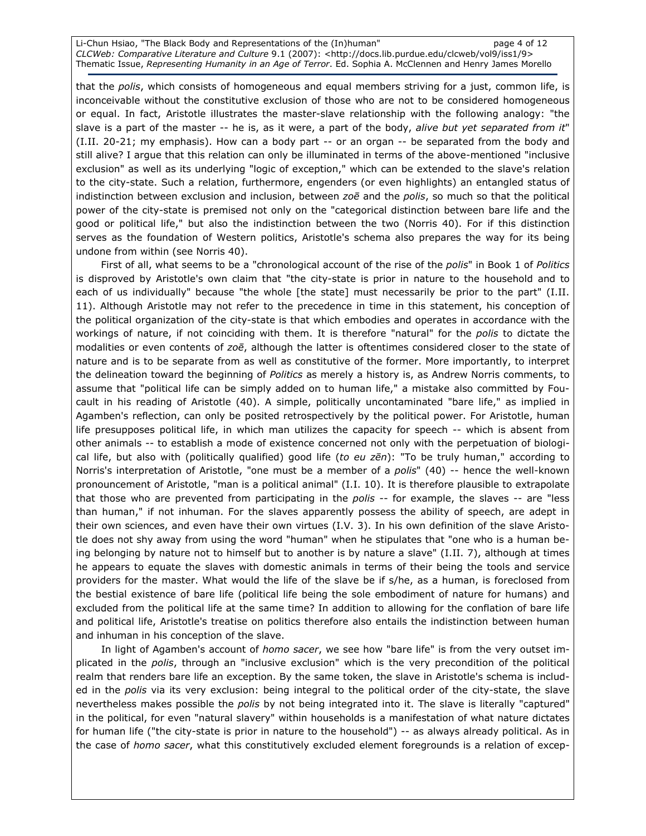Li-Chun Hsiao, "The Black Body and Representations of the (In)human" example 20 page 4 of 12 CLCWeb: Comparative Literature and Culture 9.1 (2007): <http://docs.lib.purdue.edu/clcweb/vol9/iss1/9> Thematic Issue, Representing Humanity in an Age of Terror. Ed. Sophia A. McClennen and Henry James Morello

that the polis, which consists of homogeneous and equal members striving for a just, common life, is inconceivable without the constitutive exclusion of those who are not to be considered homogeneous or equal. In fact, Aristotle illustrates the master-slave relationship with the following analogy: "the slave is a part of the master  $-$  he is, as it were, a part of the body, alive but yet separated from it" (I.II. 20-21; my emphasis). How can a body part -- or an organ -- be separated from the body and still alive? I argue that this relation can only be illuminated in terms of the above-mentioned "inclusive exclusion" as well as its underlying "logic of exception," which can be extended to the slave's relation to the city-state. Such a relation, furthermore, engenders (or even highlights) an entangled status of indistinction between exclusion and inclusion, between zoe and the polis, so much so that the political power of the city-state is premised not only on the "categorical distinction between bare life and the good or political life," but also the indistinction between the two (Norris 40). For if this distinction serves as the foundation of Western politics, Aristotle's schema also prepares the way for its being undone from within (see Norris 40).

First of all, what seems to be a "chronological account of the rise of the polis" in Book 1 of Politics is disproved by Aristotle's own claim that "the city-state is prior in nature to the household and to each of us individually" because "the whole [the state] must necessarily be prior to the part" (I.II. 11). Although Aristotle may not refer to the precedence in time in this statement, his conception of the political organization of the city-state is that which embodies and operates in accordance with the workings of nature, if not coinciding with them. It is therefore "natural" for the polis to dictate the modalities or even contents of zoe, although the latter is oftentimes considered closer to the state of nature and is to be separate from as well as constitutive of the former. More importantly, to interpret the delineation toward the beginning of Politics as merely a history is, as Andrew Norris comments, to assume that "political life can be simply added on to human life," a mistake also committed by Foucault in his reading of Aristotle (40). A simple, politically uncontaminated "bare life," as implied in Agamben's reflection, can only be posited retrospectively by the political power. For Aristotle, human life presupposes political life, in which man utilizes the capacity for speech -- which is absent from other animals -- to establish a mode of existence concerned not only with the perpetuation of biological life, but also with (politically qualified) good life (to eu  $z\bar{e}n$ ): "To be truly human," according to Norris's interpretation of Aristotle, "one must be a member of a polis" (40) -- hence the well-known pronouncement of Aristotle, "man is a political animal" (I.I. 10). It is therefore plausible to extrapolate that those who are prevented from participating in the polis -- for example, the slaves -- are "less than human," if not inhuman. For the slaves apparently possess the ability of speech, are adept in their own sciences, and even have their own virtues (I.V. 3). In his own definition of the slave Aristotle does not shy away from using the word "human" when he stipulates that "one who is a human being belonging by nature not to himself but to another is by nature a slave" (I.II. 7), although at times he appears to equate the slaves with domestic animals in terms of their being the tools and service providers for the master. What would the life of the slave be if s/he, as a human, is foreclosed from the bestial existence of bare life (political life being the sole embodiment of nature for humans) and excluded from the political life at the same time? In addition to allowing for the conflation of bare life and political life, Aristotle's treatise on politics therefore also entails the indistinction between human and inhuman in his conception of the slave.

In light of Agamben's account of homo sacer, we see how "bare life" is from the very outset implicated in the polis, through an "inclusive exclusion" which is the very precondition of the political realm that renders bare life an exception. By the same token, the slave in Aristotle's schema is included in the polis via its very exclusion: being integral to the political order of the city-state, the slave nevertheless makes possible the *polis* by not being integrated into it. The slave is literally "captured" in the political, for even "natural slavery" within households is a manifestation of what nature dictates for human life ("the city-state is prior in nature to the household") -- as always already political. As in the case of homo sacer, what this constitutively excluded element foregrounds is a relation of excep-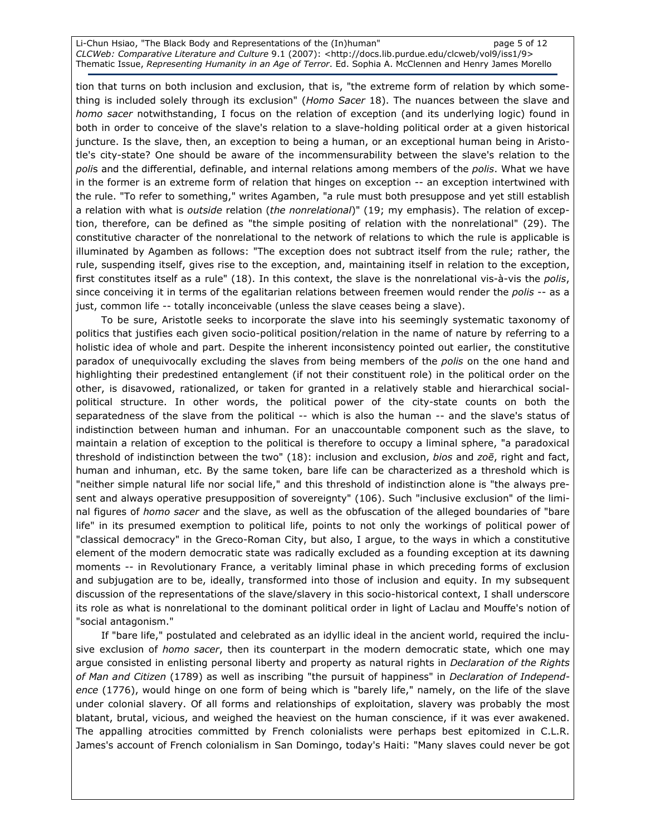Li-Chun Hsiao, "The Black Body and Representations of the (In)human" https://www.page 5 of 12 CLCWeb: Comparative Literature and Culture 9.1 (2007): <http://docs.lib.purdue.edu/clcweb/vol9/iss1/9> Thematic Issue, Representing Humanity in an Age of Terror. Ed. Sophia A. McClennen and Henry James Morello

tion that turns on both inclusion and exclusion, that is, "the extreme form of relation by which something is included solely through its exclusion" (Homo Sacer 18). The nuances between the slave and homo sacer notwithstanding, I focus on the relation of exception (and its underlying logic) found in both in order to conceive of the slave's relation to a slave-holding political order at a given historical juncture. Is the slave, then, an exception to being a human, or an exceptional human being in Aristotle's city-state? One should be aware of the incommensurability between the slave's relation to the polis and the differential, definable, and internal relations among members of the polis. What we have in the former is an extreme form of relation that hinges on exception -- an exception intertwined with the rule. "To refer to something," writes Agamben, "a rule must both presuppose and yet still establish a relation with what is outside relation (the nonrelational)" (19; my emphasis). The relation of exception, therefore, can be defined as "the simple positing of relation with the nonrelational" (29). The constitutive character of the nonrelational to the network of relations to which the rule is applicable is illuminated by Agamben as follows: "The exception does not subtract itself from the rule; rather, the rule, suspending itself, gives rise to the exception, and, maintaining itself in relation to the exception, first constitutes itself as a rule" (18). In this context, the slave is the nonrelational vis-à-vis the polis, since conceiving it in terms of the egalitarian relations between freemen would render the polis -- as a just, common life -- totally inconceivable (unless the slave ceases being a slave).

To be sure, Aristotle seeks to incorporate the slave into his seemingly systematic taxonomy of politics that justifies each given socio-political position/relation in the name of nature by referring to a holistic idea of whole and part. Despite the inherent inconsistency pointed out earlier, the constitutive paradox of unequivocally excluding the slaves from being members of the polis on the one hand and highlighting their predestined entanglement (if not their constituent role) in the political order on the other, is disavowed, rationalized, or taken for granted in a relatively stable and hierarchical socialpolitical structure. In other words, the political power of the city-state counts on both the separatedness of the slave from the political -- which is also the human -- and the slave's status of indistinction between human and inhuman. For an unaccountable component such as the slave, to maintain a relation of exception to the political is therefore to occupy a liminal sphere, "a paradoxical threshold of indistinction between the two" (18): inclusion and exclusion, bios and zoe, right and fact, human and inhuman, etc. By the same token, bare life can be characterized as a threshold which is "neither simple natural life nor social life," and this threshold of indistinction alone is "the always present and always operative presupposition of sovereignty" (106). Such "inclusive exclusion" of the liminal figures of homo sacer and the slave, as well as the obfuscation of the alleged boundaries of "bare life" in its presumed exemption to political life, points to not only the workings of political power of "classical democracy" in the Greco-Roman City, but also, I argue, to the ways in which a constitutive element of the modern democratic state was radically excluded as a founding exception at its dawning moments -- in Revolutionary France, a veritably liminal phase in which preceding forms of exclusion and subjugation are to be, ideally, transformed into those of inclusion and equity. In my subsequent discussion of the representations of the slave/slavery in this socio-historical context, I shall underscore its role as what is nonrelational to the dominant political order in light of Laclau and Mouffe's notion of "social antagonism."

If "bare life," postulated and celebrated as an idyllic ideal in the ancient world, required the inclusive exclusion of homo sacer, then its counterpart in the modern democratic state, which one may argue consisted in enlisting personal liberty and property as natural rights in Declaration of the Rights of Man and Citizen (1789) as well as inscribing "the pursuit of happiness" in Declaration of Independence (1776), would hinge on one form of being which is "barely life," namely, on the life of the slave under colonial slavery. Of all forms and relationships of exploitation, slavery was probably the most blatant, brutal, vicious, and weighed the heaviest on the human conscience, if it was ever awakened. The appalling atrocities committed by French colonialists were perhaps best epitomized in C.L.R. James's account of French colonialism in San Domingo, today's Haiti: "Many slaves could never be got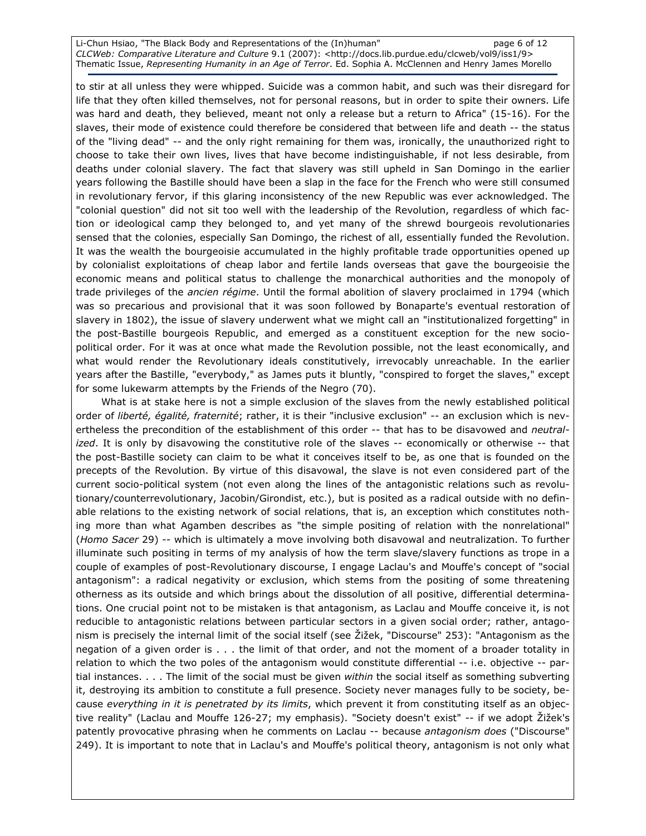Li-Chun Hsiao, "The Black Body and Representations of the (In)human" https://www.page 6 of 12 CLCWeb: Comparative Literature and Culture 9.1 (2007): <http://docs.lib.purdue.edu/clcweb/vol9/iss1/9> Thematic Issue, Representing Humanity in an Age of Terror. Ed. Sophia A. McClennen and Henry James Morello

to stir at all unless they were whipped. Suicide was a common habit, and such was their disregard for life that they often killed themselves, not for personal reasons, but in order to spite their owners. Life was hard and death, they believed, meant not only a release but a return to Africa" (15-16). For the slaves, their mode of existence could therefore be considered that between life and death -- the status of the "living dead" -- and the only right remaining for them was, ironically, the unauthorized right to choose to take their own lives, lives that have become indistinguishable, if not less desirable, from deaths under colonial slavery. The fact that slavery was still upheld in San Domingo in the earlier years following the Bastille should have been a slap in the face for the French who were still consumed in revolutionary fervor, if this glaring inconsistency of the new Republic was ever acknowledged. The "colonial question" did not sit too well with the leadership of the Revolution, regardless of which faction or ideological camp they belonged to, and yet many of the shrewd bourgeois revolutionaries sensed that the colonies, especially San Domingo, the richest of all, essentially funded the Revolution. It was the wealth the bourgeoisie accumulated in the highly profitable trade opportunities opened up by colonialist exploitations of cheap labor and fertile lands overseas that gave the bourgeoisie the economic means and political status to challenge the monarchical authorities and the monopoly of trade privileges of the ancien régime. Until the formal abolition of slavery proclaimed in 1794 (which was so precarious and provisional that it was soon followed by Bonaparte's eventual restoration of slavery in 1802), the issue of slavery underwent what we might call an "institutionalized forgetting" in the post-Bastille bourgeois Republic, and emerged as a constituent exception for the new sociopolitical order. For it was at once what made the Revolution possible, not the least economically, and what would render the Revolutionary ideals constitutively, irrevocably unreachable. In the earlier years after the Bastille, "everybody," as James puts it bluntly, "conspired to forget the slaves," except for some lukewarm attempts by the Friends of the Negro (70).

What is at stake here is not a simple exclusion of the slaves from the newly established political order of liberté, égalité, fraternité; rather, it is their "inclusive exclusion" -- an exclusion which is nevertheless the precondition of the establishment of this order -- that has to be disavowed and neutralized. It is only by disavowing the constitutive role of the slaves -- economically or otherwise -- that the post-Bastille society can claim to be what it conceives itself to be, as one that is founded on the precepts of the Revolution. By virtue of this disavowal, the slave is not even considered part of the current socio-political system (not even along the lines of the antagonistic relations such as revolutionary/counterrevolutionary, Jacobin/Girondist, etc.), but is posited as a radical outside with no definable relations to the existing network of social relations, that is, an exception which constitutes nothing more than what Agamben describes as "the simple positing of relation with the nonrelational" (Homo Sacer 29) -- which is ultimately a move involving both disavowal and neutralization. To further illuminate such positing in terms of my analysis of how the term slave/slavery functions as trope in a couple of examples of post-Revolutionary discourse, I engage Laclau's and Mouffe's concept of "social antagonism": a radical negativity or exclusion, which stems from the positing of some threatening otherness as its outside and which brings about the dissolution of all positive, differential determinations. One crucial point not to be mistaken is that antagonism, as Laclau and Mouffe conceive it, is not reducible to antagonistic relations between particular sectors in a given social order; rather, antagonism is precisely the internal limit of the social itself (see Žižek, "Discourse" 253): "Antagonism as the negation of a given order is . . . the limit of that order, and not the moment of a broader totality in relation to which the two poles of the antagonism would constitute differential -- i.e. objective -- partial instances. . . . The limit of the social must be given within the social itself as something subverting it, destroying its ambition to constitute a full presence. Society never manages fully to be society, because everything in it is penetrated by its limits, which prevent it from constituting itself as an objective reality" (Laclau and Mouffe 126-27; my emphasis). "Society doesn't exist" -- if we adopt Žižek's patently provocative phrasing when he comments on Laclau -- because antagonism does ("Discourse" 249). It is important to note that in Laclau's and Mouffe's political theory, antagonism is not only what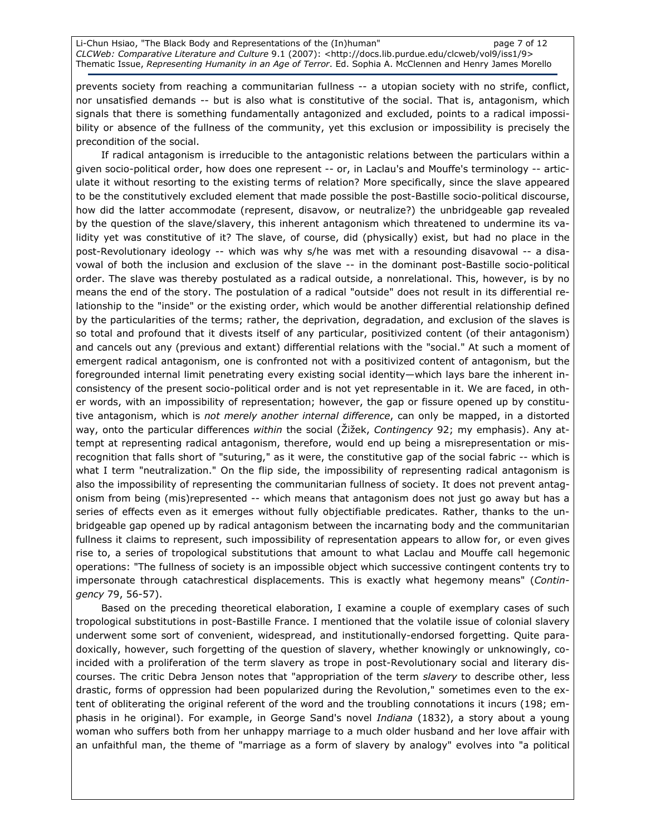prevents society from reaching a communitarian fullness -- a utopian society with no strife, conflict, nor unsatisfied demands -- but is also what is constitutive of the social. That is, antagonism, which signals that there is something fundamentally antagonized and excluded, points to a radical impossibility or absence of the fullness of the community, yet this exclusion or impossibility is precisely the precondition of the social.

If radical antagonism is irreducible to the antagonistic relations between the particulars within a given socio-political order, how does one represent -- or, in Laclau's and Mouffe's terminology -- articulate it without resorting to the existing terms of relation? More specifically, since the slave appeared to be the constitutively excluded element that made possible the post-Bastille socio-political discourse, how did the latter accommodate (represent, disavow, or neutralize?) the unbridgeable gap revealed by the question of the slave/slavery, this inherent antagonism which threatened to undermine its validity yet was constitutive of it? The slave, of course, did (physically) exist, but had no place in the post-Revolutionary ideology -- which was why s/he was met with a resounding disavowal -- a disavowal of both the inclusion and exclusion of the slave -- in the dominant post-Bastille socio-political order. The slave was thereby postulated as a radical outside, a nonrelational. This, however, is by no means the end of the story. The postulation of a radical "outside" does not result in its differential relationship to the "inside" or the existing order, which would be another differential relationship defined by the particularities of the terms; rather, the deprivation, degradation, and exclusion of the slaves is so total and profound that it divests itself of any particular, positivized content (of their antagonism) and cancels out any (previous and extant) differential relations with the "social." At such a moment of emergent radical antagonism, one is confronted not with a positivized content of antagonism, but the foregrounded internal limit penetrating every existing social identity—which lays bare the inherent inconsistency of the present socio-political order and is not yet representable in it. We are faced, in other words, with an impossibility of representation; however, the gap or fissure opened up by constitutive antagonism, which is not merely another internal difference, can only be mapped, in a distorted way, onto the particular differences within the social (Žižek, Contingency 92; my emphasis). Any attempt at representing radical antagonism, therefore, would end up being a misrepresentation or misrecognition that falls short of "suturing," as it were, the constitutive gap of the social fabric -- which is what I term "neutralization." On the flip side, the impossibility of representing radical antagonism is also the impossibility of representing the communitarian fullness of society. It does not prevent antagonism from being (mis)represented -- which means that antagonism does not just go away but has a series of effects even as it emerges without fully objectifiable predicates. Rather, thanks to the unbridgeable gap opened up by radical antagonism between the incarnating body and the communitarian fullness it claims to represent, such impossibility of representation appears to allow for, or even gives rise to, a series of tropological substitutions that amount to what Laclau and Mouffe call hegemonic operations: "The fullness of society is an impossible object which successive contingent contents try to impersonate through catachrestical displacements. This is exactly what hegemony means" (Contingency 79, 56-57).

Based on the preceding theoretical elaboration, I examine a couple of exemplary cases of such tropological substitutions in post-Bastille France. I mentioned that the volatile issue of colonial slavery underwent some sort of convenient, widespread, and institutionally-endorsed forgetting. Quite paradoxically, however, such forgetting of the question of slavery, whether knowingly or unknowingly, coincided with a proliferation of the term slavery as trope in post-Revolutionary social and literary discourses. The critic Debra Jenson notes that "appropriation of the term slavery to describe other, less drastic, forms of oppression had been popularized during the Revolution," sometimes even to the extent of obliterating the original referent of the word and the troubling connotations it incurs (198; emphasis in he original). For example, in George Sand's novel Indiana (1832), a story about a young woman who suffers both from her unhappy marriage to a much older husband and her love affair with an unfaithful man, the theme of "marriage as a form of slavery by analogy" evolves into "a political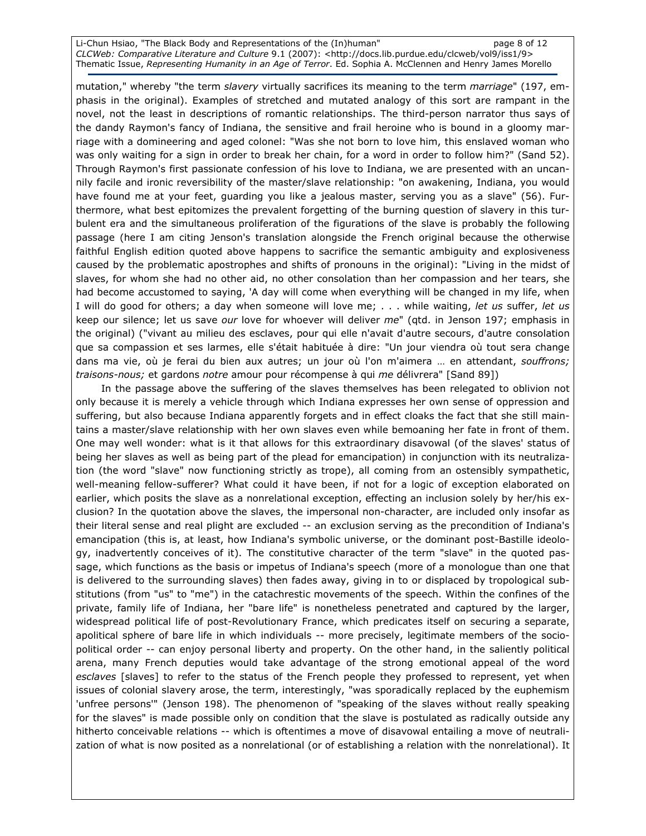Li-Chun Hsiao, "The Black Body and Representations of the (In)human" example 2 of 12 CLCWeb: Comparative Literature and Culture 9.1 (2007): <http://docs.lib.purdue.edu/clcweb/vol9/iss1/9> Thematic Issue, Representing Humanity in an Age of Terror. Ed. Sophia A. McClennen and Henry James Morello

mutation," whereby "the term slavery virtually sacrifices its meaning to the term marriage" (197, emphasis in the original). Examples of stretched and mutated analogy of this sort are rampant in the novel, not the least in descriptions of romantic relationships. The third-person narrator thus says of the dandy Raymon's fancy of Indiana, the sensitive and frail heroine who is bound in a gloomy marriage with a domineering and aged colonel: "Was she not born to love him, this enslaved woman who was only waiting for a sign in order to break her chain, for a word in order to follow him?" (Sand 52). Through Raymon's first passionate confession of his love to Indiana, we are presented with an uncannily facile and ironic reversibility of the master/slave relationship: "on awakening, Indiana, you would have found me at your feet, guarding you like a jealous master, serving you as a slave" (56). Furthermore, what best epitomizes the prevalent forgetting of the burning question of slavery in this turbulent era and the simultaneous proliferation of the figurations of the slave is probably the following passage (here I am citing Jenson's translation alongside the French original because the otherwise faithful English edition quoted above happens to sacrifice the semantic ambiguity and explosiveness caused by the problematic apostrophes and shifts of pronouns in the original): "Living in the midst of slaves, for whom she had no other aid, no other consolation than her compassion and her tears, she had become accustomed to saying, 'A day will come when everything will be changed in my life, when I will do good for others; a day when someone will love me; . . . while waiting, let us suffer, let us keep our silence; let us save our love for whoever will deliver me" (qtd. in Jenson 197; emphasis in the original) ("vivant au milieu des esclaves, pour qui elle n'avait d'autre secours, d'autre consolation que sa compassion et ses larmes, elle s'était habituée à dire: "Un jour viendra où tout sera change dans ma vie, où je ferai du bien aux autres; un jour où l'on m'aimera ... en attendant, souffrons; traisons-nous; et gardons notre amour pour récompense à qui me délivrera" [Sand 89])

In the passage above the suffering of the slaves themselves has been relegated to oblivion not only because it is merely a vehicle through which Indiana expresses her own sense of oppression and suffering, but also because Indiana apparently forgets and in effect cloaks the fact that she still maintains a master/slave relationship with her own slaves even while bemoaning her fate in front of them. One may well wonder: what is it that allows for this extraordinary disavowal (of the slaves' status of being her slaves as well as being part of the plead for emancipation) in conjunction with its neutralization (the word "slave" now functioning strictly as trope), all coming from an ostensibly sympathetic, well-meaning fellow-sufferer? What could it have been, if not for a logic of exception elaborated on earlier, which posits the slave as a nonrelational exception, effecting an inclusion solely by her/his exclusion? In the quotation above the slaves, the impersonal non-character, are included only insofar as their literal sense and real plight are excluded -- an exclusion serving as the precondition of Indiana's emancipation (this is, at least, how Indiana's symbolic universe, or the dominant post-Bastille ideology, inadvertently conceives of it). The constitutive character of the term "slave" in the quoted passage, which functions as the basis or impetus of Indiana's speech (more of a monologue than one that is delivered to the surrounding slaves) then fades away, giving in to or displaced by tropological substitutions (from "us" to "me") in the catachrestic movements of the speech. Within the confines of the private, family life of Indiana, her "bare life" is nonetheless penetrated and captured by the larger, widespread political life of post-Revolutionary France, which predicates itself on securing a separate, apolitical sphere of bare life in which individuals -- more precisely, legitimate members of the sociopolitical order -- can enjoy personal liberty and property. On the other hand, in the saliently political arena, many French deputies would take advantage of the strong emotional appeal of the word esclaves [slaves] to refer to the status of the French people they professed to represent, yet when issues of colonial slavery arose, the term, interestingly, "was sporadically replaced by the euphemism 'unfree persons'" (Jenson 198). The phenomenon of "speaking of the slaves without really speaking for the slaves" is made possible only on condition that the slave is postulated as radically outside any hitherto conceivable relations -- which is oftentimes a move of disavowal entailing a move of neutralization of what is now posited as a nonrelational (or of establishing a relation with the nonrelational). It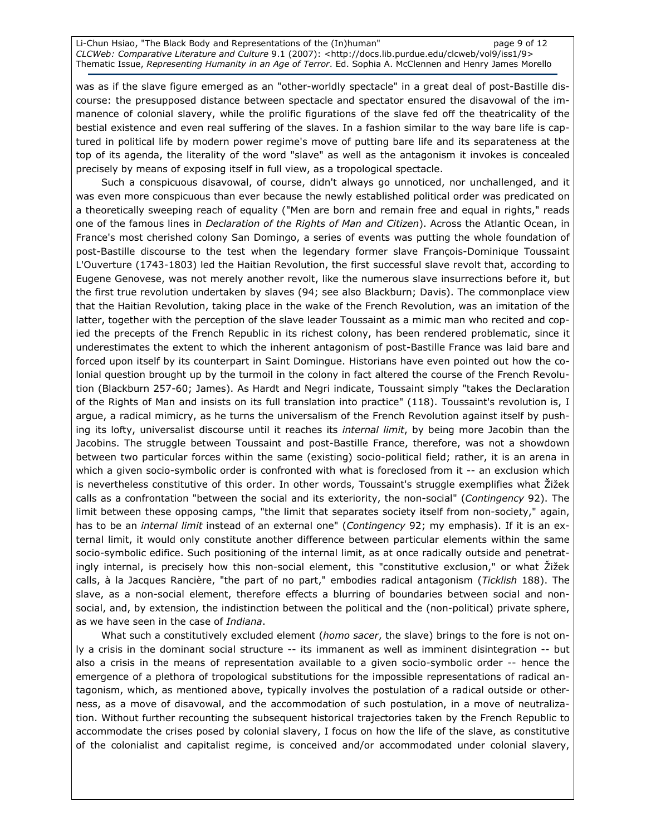Li-Chun Hsiao, "The Black Body and Representations of the (In)human" https://www.page 9 of 12 CLCWeb: Comparative Literature and Culture 9.1 (2007): <http://docs.lib.purdue.edu/clcweb/vol9/iss1/9> Thematic Issue, Representing Humanity in an Age of Terror. Ed. Sophia A. McClennen and Henry James Morello

was as if the slave figure emerged as an "other-worldly spectacle" in a great deal of post-Bastille discourse: the presupposed distance between spectacle and spectator ensured the disavowal of the immanence of colonial slavery, while the prolific figurations of the slave fed off the theatricality of the bestial existence and even real suffering of the slaves. In a fashion similar to the way bare life is captured in political life by modern power regime's move of putting bare life and its separateness at the top of its agenda, the literality of the word "slave" as well as the antagonism it invokes is concealed precisely by means of exposing itself in full view, as a tropological spectacle.

Such a conspicuous disavowal, of course, didn't always go unnoticed, nor unchallenged, and it was even more conspicuous than ever because the newly established political order was predicated on a theoretically sweeping reach of equality ("Men are born and remain free and equal in rights," reads one of the famous lines in *Declaration of the Rights of Man and Citizen*). Across the Atlantic Ocean, in France's most cherished colony San Domingo, a series of events was putting the whole foundation of post-Bastille discourse to the test when the legendary former slave François-Dominique Toussaint L'Ouverture (1743-1803) led the Haitian Revolution, the first successful slave revolt that, according to Eugene Genovese, was not merely another revolt, like the numerous slave insurrections before it, but the first true revolution undertaken by slaves (94; see also Blackburn; Davis). The commonplace view that the Haitian Revolution, taking place in the wake of the French Revolution, was an imitation of the latter, together with the perception of the slave leader Toussaint as a mimic man who recited and copied the precepts of the French Republic in its richest colony, has been rendered problematic, since it underestimates the extent to which the inherent antagonism of post-Bastille France was laid bare and forced upon itself by its counterpart in Saint Domingue. Historians have even pointed out how the colonial question brought up by the turmoil in the colony in fact altered the course of the French Revolution (Blackburn 257-60; James). As Hardt and Negri indicate, Toussaint simply "takes the Declaration of the Rights of Man and insists on its full translation into practice" (118). Toussaint's revolution is, I argue, a radical mimicry, as he turns the universalism of the French Revolution against itself by pushing its lofty, universalist discourse until it reaches its internal limit, by being more Jacobin than the Jacobins. The struggle between Toussaint and post-Bastille France, therefore, was not a showdown between two particular forces within the same (existing) socio-political field; rather, it is an arena in which a given socio-symbolic order is confronted with what is foreclosed from it -- an exclusion which is nevertheless constitutive of this order. In other words, Toussaint's struggle exemplifies what Žižek calls as a confrontation "between the social and its exteriority, the non-social" (Contingency 92). The limit between these opposing camps, "the limit that separates society itself from non-society," again, has to be an internal limit instead of an external one" (Contingency 92; my emphasis). If it is an external limit, it would only constitute another difference between particular elements within the same socio-symbolic edifice. Such positioning of the internal limit, as at once radically outside and penetratingly internal, is precisely how this non-social element, this "constitutive exclusion," or what Žižek calls, à la Jacques Rancière, "the part of no part," embodies radical antagonism (Ticklish 188). The slave, as a non-social element, therefore effects a blurring of boundaries between social and nonsocial, and, by extension, the indistinction between the political and the (non-political) private sphere, as we have seen in the case of Indiana.

What such a constitutively excluded element (homo sacer, the slave) brings to the fore is not only a crisis in the dominant social structure -- its immanent as well as imminent disintegration -- but also a crisis in the means of representation available to a given socio-symbolic order -- hence the emergence of a plethora of tropological substitutions for the impossible representations of radical antagonism, which, as mentioned above, typically involves the postulation of a radical outside or otherness, as a move of disavowal, and the accommodation of such postulation, in a move of neutralization. Without further recounting the subsequent historical trajectories taken by the French Republic to accommodate the crises posed by colonial slavery, I focus on how the life of the slave, as constitutive of the colonialist and capitalist regime, is conceived and/or accommodated under colonial slavery,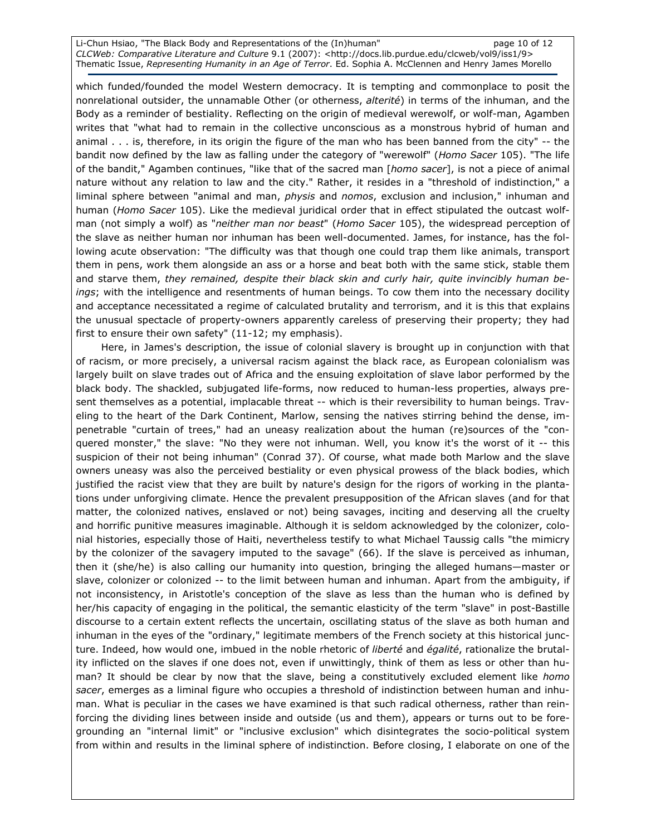Li-Chun Hsiao, "The Black Body and Representations of the (In)human" example 10 of 12 CLCWeb: Comparative Literature and Culture 9.1 (2007): <http://docs.lib.purdue.edu/clcweb/vol9/iss1/9> Thematic Issue, Representing Humanity in an Age of Terror. Ed. Sophia A. McClennen and Henry James Morello

which funded/founded the model Western democracy. It is tempting and commonplace to posit the nonrelational outsider, the unnamable Other (or otherness, alterité) in terms of the inhuman, and the Body as a reminder of bestiality. Reflecting on the origin of medieval werewolf, or wolf-man, Agamben writes that "what had to remain in the collective unconscious as a monstrous hybrid of human and animal . . . is, therefore, in its origin the figure of the man who has been banned from the city" -- the bandit now defined by the law as falling under the category of "werewolf" (Homo Sacer 105). "The life of the bandit," Agamben continues, "like that of the sacred man [homo sacer], is not a piece of animal nature without any relation to law and the city." Rather, it resides in a "threshold of indistinction," a liminal sphere between "animal and man, *physis* and nomos, exclusion and inclusion," inhuman and human (Homo Sacer 105). Like the medieval juridical order that in effect stipulated the outcast wolfman (not simply a wolf) as "neither man nor beast" (Homo Sacer 105), the widespread perception of the slave as neither human nor inhuman has been well-documented. James, for instance, has the following acute observation: "The difficulty was that though one could trap them like animals, transport them in pens, work them alongside an ass or a horse and beat both with the same stick, stable them and starve them, they remained, despite their black skin and curly hair, quite invincibly human beings; with the intelligence and resentments of human beings. To cow them into the necessary docility and acceptance necessitated a regime of calculated brutality and terrorism, and it is this that explains the unusual spectacle of property-owners apparently careless of preserving their property; they had first to ensure their own safety" (11-12; my emphasis).

Here, in James's description, the issue of colonial slavery is brought up in conjunction with that of racism, or more precisely, a universal racism against the black race, as European colonialism was largely built on slave trades out of Africa and the ensuing exploitation of slave labor performed by the black body. The shackled, subjugated life-forms, now reduced to human-less properties, always present themselves as a potential, implacable threat -- which is their reversibility to human beings. Traveling to the heart of the Dark Continent, Marlow, sensing the natives stirring behind the dense, impenetrable "curtain of trees," had an uneasy realization about the human (re)sources of the "conquered monster," the slave: "No they were not inhuman. Well, you know it's the worst of it -- this suspicion of their not being inhuman" (Conrad 37). Of course, what made both Marlow and the slave owners uneasy was also the perceived bestiality or even physical prowess of the black bodies, which justified the racist view that they are built by nature's design for the rigors of working in the plantations under unforgiving climate. Hence the prevalent presupposition of the African slaves (and for that matter, the colonized natives, enslaved or not) being savages, inciting and deserving all the cruelty and horrific punitive measures imaginable. Although it is seldom acknowledged by the colonizer, colonial histories, especially those of Haiti, nevertheless testify to what Michael Taussig calls "the mimicry by the colonizer of the savagery imputed to the savage" (66). If the slave is perceived as inhuman, then it (she/he) is also calling our humanity into question, bringing the alleged humans—master or slave, colonizer or colonized -- to the limit between human and inhuman. Apart from the ambiguity, if not inconsistency, in Aristotle's conception of the slave as less than the human who is defined by her/his capacity of engaging in the political, the semantic elasticity of the term "slave" in post-Bastille discourse to a certain extent reflects the uncertain, oscillating status of the slave as both human and inhuman in the eyes of the "ordinary," legitimate members of the French society at this historical juncture. Indeed, how would one, imbued in the noble rhetoric of liberté and égalité, rationalize the brutality inflicted on the slaves if one does not, even if unwittingly, think of them as less or other than human? It should be clear by now that the slave, being a constitutively excluded element like homo sacer, emerges as a liminal figure who occupies a threshold of indistinction between human and inhuman. What is peculiar in the cases we have examined is that such radical otherness, rather than reinforcing the dividing lines between inside and outside (us and them), appears or turns out to be foregrounding an "internal limit" or "inclusive exclusion" which disintegrates the socio-political system from within and results in the liminal sphere of indistinction. Before closing, I elaborate on one of the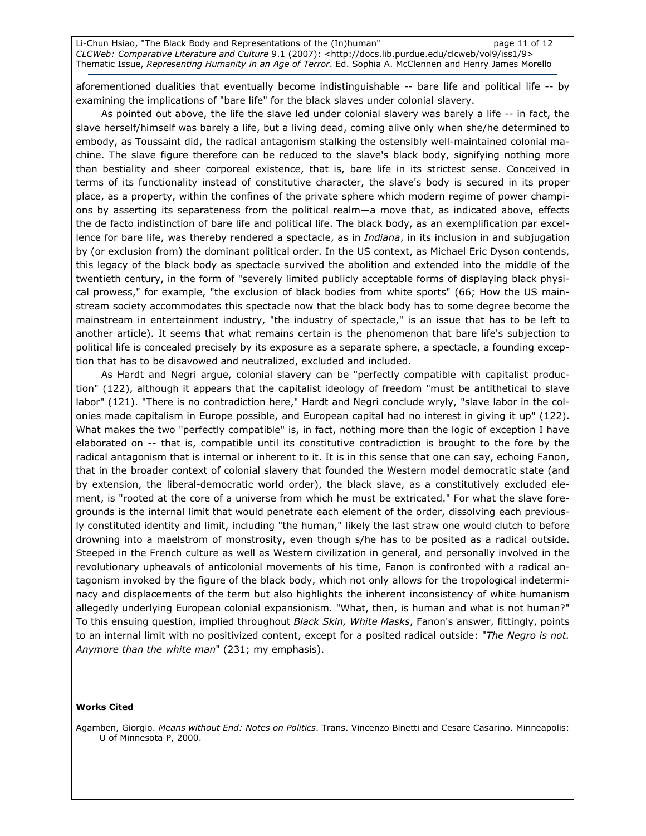Li-Chun Hsiao, "The Black Body and Representations of the (In)human" page 11 of 12 CLCWeb: Comparative Literature and Culture 9.1 (2007): <http://docs.lib.purdue.edu/clcweb/vol9/iss1/9> Thematic Issue, Representing Humanity in an Age of Terror. Ed. Sophia A. McClennen and Henry James Morello

aforementioned dualities that eventually become indistinguishable -- bare life and political life -- by examining the implications of "bare life" for the black slaves under colonial slavery.

As pointed out above, the life the slave led under colonial slavery was barely a life -- in fact, the slave herself/himself was barely a life, but a living dead, coming alive only when she/he determined to embody, as Toussaint did, the radical antagonism stalking the ostensibly well-maintained colonial machine. The slave figure therefore can be reduced to the slave's black body, signifying nothing more than bestiality and sheer corporeal existence, that is, bare life in its strictest sense. Conceived in terms of its functionality instead of constitutive character, the slave's body is secured in its proper place, as a property, within the confines of the private sphere which modern regime of power champions by asserting its separateness from the political realm—a move that, as indicated above, effects the de facto indistinction of bare life and political life. The black body, as an exemplification par excellence for bare life, was thereby rendered a spectacle, as in Indiana, in its inclusion in and subjugation by (or exclusion from) the dominant political order. In the US context, as Michael Eric Dyson contends, this legacy of the black body as spectacle survived the abolition and extended into the middle of the twentieth century, in the form of "severely limited publicly acceptable forms of displaying black physical prowess," for example, "the exclusion of black bodies from white sports" (66; How the US mainstream society accommodates this spectacle now that the black body has to some degree become the mainstream in entertainment industry, "the industry of spectacle," is an issue that has to be left to another article). It seems that what remains certain is the phenomenon that bare life's subjection to political life is concealed precisely by its exposure as a separate sphere, a spectacle, a founding exception that has to be disavowed and neutralized, excluded and included.

As Hardt and Negri argue, colonial slavery can be "perfectly compatible with capitalist production" (122), although it appears that the capitalist ideology of freedom "must be antithetical to slave labor" (121). "There is no contradiction here," Hardt and Negri conclude wryly, "slave labor in the colonies made capitalism in Europe possible, and European capital had no interest in giving it up" (122). What makes the two "perfectly compatible" is, in fact, nothing more than the logic of exception I have elaborated on -- that is, compatible until its constitutive contradiction is brought to the fore by the radical antagonism that is internal or inherent to it. It is in this sense that one can say, echoing Fanon, that in the broader context of colonial slavery that founded the Western model democratic state (and by extension, the liberal-democratic world order), the black slave, as a constitutively excluded element, is "rooted at the core of a universe from which he must be extricated." For what the slave foregrounds is the internal limit that would penetrate each element of the order, dissolving each previously constituted identity and limit, including "the human," likely the last straw one would clutch to before drowning into a maelstrom of monstrosity, even though s/he has to be posited as a radical outside. Steeped in the French culture as well as Western civilization in general, and personally involved in the revolutionary upheavals of anticolonial movements of his time, Fanon is confronted with a radical antagonism invoked by the figure of the black body, which not only allows for the tropological indeterminacy and displacements of the term but also highlights the inherent inconsistency of white humanism allegedly underlying European colonial expansionism. "What, then, is human and what is not human?" To this ensuing question, implied throughout Black Skin, White Masks, Fanon's answer, fittingly, points to an internal limit with no positivized content, except for a posited radical outside: "The Negro is not. Anymore than the white man" (231; my emphasis).

#### Works Cited

Agamben, Giorgio. Means without End: Notes on Politics. Trans. Vincenzo Binetti and Cesare Casarino. Minneapolis: U of Minnesota P, 2000.